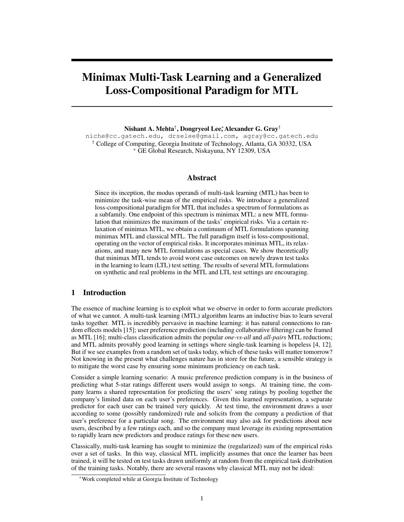# Minimax Multi-Task Learning and a Generalized Loss-Compositional Paradigm for MTL

Nishant A. Mehta†, Dongryeol Lee,\* Alexander G. Gray†

niche@cc.gatech.edu, drselee@gmail.com, agray@cc.gatech.edu † College of Computing, Georgia Institute of Technology, Atlanta, GA 30332, USA <sup>∗</sup> GE Global Research, Niskayuna, NY 12309, USA

#### Abstract

Since its inception, the modus operandi of multi-task learning (MTL) has been to minimize the task-wise mean of the empirical risks. We introduce a generalized loss-compositional paradigm for MTL that includes a spectrum of formulations as a subfamily. One endpoint of this spectrum is minimax MTL: a new MTL formulation that minimizes the maximum of the tasks' empirical risks. Via a certain relaxation of minimax MTL, we obtain a continuum of MTL formulations spanning minimax MTL and classical MTL. The full paradigm itself is loss-compositional, operating on the vector of empirical risks. It incorporates minimax MTL, its relaxations, and many new MTL formulations as special cases. We show theoretically that minimax MTL tends to avoid worst case outcomes on newly drawn test tasks in the learning to learn (LTL) test setting. The results of several MTL formulations on synthetic and real problems in the MTL and LTL test settings are encouraging.

# 1 Introduction

The essence of machine learning is to exploit what we observe in order to form accurate predictors of what we cannot. A multi-task learning (MTL) algorithm learns an inductive bias to learn several tasks together. MTL is incredibly pervasive in machine learning: it has natural connections to random effects models [15]; user preference prediction (including collaborative filtering) can be framed as MTL [16]; multi-class classification admits the popular *one-vs-all* and *all-pairs* MTL reductions; and MTL admits provably good learning in settings where single-task learning is hopeless [4, 12]. But if we see examples from a random set of tasks today, which of these tasks will matter tomorrow? Not knowing in the present what challenges nature has in store for the future, a sensible strategy is to mitigate the worst case by ensuring some minimum proficiency on each task.

Consider a simple learning scenario: A music preference prediction company is in the business of predicting what 5-star ratings different users would assign to songs. At training time, the company learns a shared representation for predicting the users' song ratings by pooling together the company's limited data on each user's preferences. Given this learned representation, a separate predictor for each user can be trained very quickly. At test time, the environment draws a user according to some (possibly randomized) rule and solicits from the company a prediction of that user's preference for a particular song. The environment may also ask for predictions about new users, described by a few ratings each, and so the company must leverage its existing representation to rapidly learn new predictors and produce ratings for these new users.

Classically, multi-task learning has sought to minimize the (regularized) sum of the empirical risks over a set of tasks. In this way, classical MTL implicitly assumes that once the learner has been trained, it will be tested on test tasks drawn uniformly at random from the empirical task distribution of the training tasks. Notably, there are several reasons why classical MTL may not be ideal:

<sup>∗</sup>Work completed while at Georgia Institute of Technology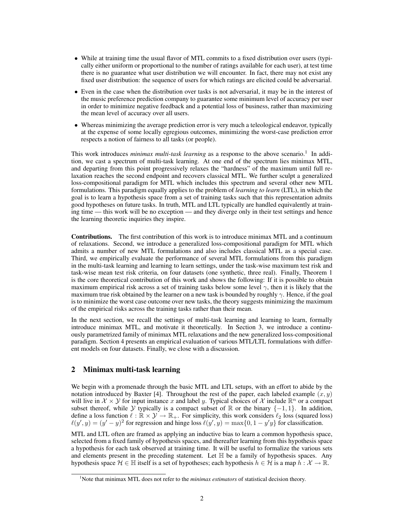- While at training time the usual flavor of MTL commits to a fixed distribution over users (typically either uniform or proportional to the number of ratings available for each user), at test time there is no guarantee what user distribution we will encounter. In fact, there may not exist any fixed user distribution: the sequence of users for which ratings are elicited could be adversarial.
- Even in the case when the distribution over tasks is not adversarial, it may be in the interest of the music preference prediction company to guarantee some minimum level of accuracy per user in order to minimize negative feedback and a potential loss of business, rather than maximizing the mean level of accuracy over all users.
- Whereas minimizing the average prediction error is very much a teleological endeavor, typically at the expense of some locally egregious outcomes, minimizing the worst-case prediction error respects a notion of fairness to all tasks (or people).

This work introduces *minimax multi-task learning* as a response to the above scenario.<sup>1</sup> In addition, we cast a spectrum of multi-task learning. At one end of the spectrum lies minimax MTL, and departing from this point progressively relaxes the "hardness" of the maximum until full relaxation reaches the second endpoint and recovers classical MTL. We further sculpt a generalized loss-compositional paradigm for MTL which includes this spectrum and several other new MTL formulations. This paradigm equally applies to the problem of *learning to learn* (LTL), in which the goal is to learn a hypothesis space from a set of training tasks such that this representation admits good hypotheses on future tasks. In truth, MTL and LTL typically are handled equivalently at training time — this work will be no exception — and they diverge only in their test settings and hence the learning theoretic inquiries they inspire.

Contributions. The first contribution of this work is to introduce minimax MTL and a continuum of relaxations. Second, we introduce a generalized loss-compositional paradigm for MTL which admits a number of new MTL formulations and also includes classical MTL as a special case. Third, we empirically evaluate the performance of several MTL formulations from this paradigm in the multi-task learning and learning to learn settings, under the task-wise maximum test risk and task-wise mean test risk criteria, on four datasets (one synthetic, three real). Finally, Theorem 1 is the core theoretical contribution of this work and shows the following: If it is possible to obtain maximum empirical risk across a set of training tasks below some level  $\gamma$ , then it is likely that the maximum true risk obtained by the learner on a new task is bounded by roughly  $\gamma$ . Hence, if the goal is to minimize the worst case outcome over new tasks, the theory suggests minimizing the maximum of the empirical risks across the training tasks rather than their mean.

In the next section, we recall the settings of multi-task learning and learning to learn, formally introduce minimax MTL, and motivate it theoretically. In Section 3, we introduce a continuously parametrized family of minimax MTL relaxations and the new generalized loss-compositional paradigm. Section 4 presents an empirical evaluation of various MTL/LTL formulations with different models on four datasets. Finally, we close with a discussion.

# 2 Minimax multi-task learning

We begin with a promenade through the basic MTL and LTL setups, with an effort to abide by the notation introduced by Baxter [4]. Throughout the rest of the paper, each labeled example  $(x, y)$ will live in  $X \times Y$  for input instance x and label y. Typical choices of X include  $\mathbb{R}^n$  or a compact subset thereof, while Y typically is a compact subset of R or the binary  $\{-1, 1\}$ . In addition, define a loss function  $\ell : \mathbb{R} \times \mathcal{Y} \to \mathbb{R}_+$ . For simplicity, this work considers  $\ell_2$  loss (squared loss)  $\ell(y', y) = (y' - y)^2$  for regression and hinge loss  $\ell(y', y) = \max\{0, 1 - y'y\}$  for classification.

MTL and LTL often are framed as applying an inductive bias to learn a common hypothesis space, selected from a fixed family of hypothesis spaces, and thereafter learning from this hypothesis space a hypothesis for each task observed at training time. It will be useful to formalize the various sets and elements present in the preceding statement. Let  $\mathbb H$  be a family of hypothesis spaces. Any hypothesis space  $\mathcal{H} \in \mathbb{H}$  itself is a set of hypotheses; each hypothesis  $h \in \mathcal{H}$  is a map  $h : \mathcal{X} \to \mathbb{R}$ .

<sup>&</sup>lt;sup>1</sup>Note that minimax MTL does not refer to the *minimax estimators* of statistical decision theory.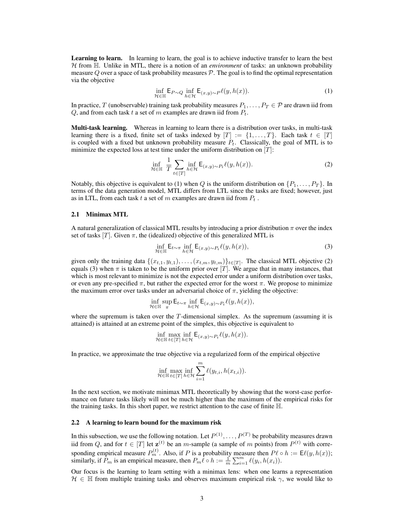Learning to learn. In learning to learn, the goal is to achieve inductive transfer to learn the best  $H$  from  $H$ . Unlike in MTL, there is a notion of an *environment* of tasks: an unknown probability measure  $Q$  over a space of task probability measures  $P$ . The goal is to find the optimal representation via the objective

$$
\inf_{\mathcal{H}\in\mathbb{H}} \mathsf{E}_{P\sim Q} \inf_{h\in\mathcal{H}} \mathsf{E}_{(x,y)\sim P} \ell(y,h(x)).\tag{1}
$$

In practice, T (unobservable) training task probability measures  $P_1, \ldots, P_T \in \mathcal{P}$  are drawn iid from Q, and from each task t a set of m examples are drawn iid from  $P_t$ .

**Multi-task learning.** Whereas in learning to learn there is a distribution over tasks, in multi-task learning there is a fixed, finite set of tasks indexed by  $[T] := \{1, \ldots, T\}$ . Each task  $t \in [T]$ is coupled with a fixed but unknown probability measure  $P_t$ . Classically, the goal of MTL is to minimize the expected loss at test time under the uniform distribution on  $[T]$ :

$$
\inf_{\mathcal{H}\in\mathbb{H}}\;\frac{1}{T}\sum_{t\in[T]}\inf_{h\in\mathcal{H}}\mathsf{E}_{(x,y)\sim P_t}\ell(y,h(x)).\tag{2}
$$

Notably, this objective is equivalent to (1) when Q is the uniform distribution on  $\{P_1, \ldots, P_T\}$ . In terms of the data generation model, MTL differs from LTL since the tasks are fixed; however, just as in LTL, from each task t a set of m examples are drawn iid from  $P_t$ .

#### 2.1 Minimax MTL

A natural generalization of classical MTL results by introducing a prior distribution  $\pi$  over the index set of tasks  $[T]$ . Given  $\pi$ , the (idealized) objective of this generalized MTL is

$$
\inf_{\mathcal{H}\in\mathbb{H}} \mathsf{E}_{t\sim\pi} \inf_{h\in\mathcal{H}} \mathsf{E}_{(x,y)\sim P_t} \ell(y,h(x)),\tag{3}
$$

given only the training data  $\{(x_{t,1}, y_{t,1}), \ldots, (x_{t,m}, y_{t,m})\}_{t \in [T]}$ . The classical MTL objective (2) equals (3) when  $\pi$  is taken to be the uniform prior over [T]. We argue that in many instances, that which is most relevant to minimize is not the expected error under a uniform distribution over tasks, or even any pre-specified  $\pi$ , but rather the expected error for the worst  $\pi$ . We propose to minimize the maximum error over tasks under an adversarial choice of  $\pi$ , yielding the objective:

$$
\inf_{\mathcal{H} \in \mathbb{H}} \sup_{\pi} \mathsf{E}_{t \sim \pi} \inf_{h \in \mathcal{H}} \mathsf{E}_{(x,y) \sim P_t} \ell(y, h(x)),
$$

where the supremum is taken over the  $T$ -dimensional simplex. As the supremum (assuming it is attained) is attained at an extreme point of the simplex, this objective is equivalent to

$$
\inf_{\mathcal{H} \in \mathbb{H}} \max_{t \in [T]} \inf_{h \in \mathcal{H}} \mathsf{E}_{(x,y)\sim P_t} \ell(y, h(x)).
$$

In practice, we approximate the true objective via a regularized form of the empirical objective

$$
\inf_{\mathcal{H} \in \mathbb{H}} \max_{t \in [T]} \inf_{h \in \mathcal{H}} \sum_{i=1}^{m} \ell(y_{t,i}, h(x_{t,i})).
$$

In the next section, we motivate minimax MTL theoretically by showing that the worst-case performance on future tasks likely will not be much higher than the maximum of the empirical risks for the training tasks. In this short paper, we restrict attention to the case of finite H.

#### 2.2 A learning to learn bound for the maximum risk

In this subsection, we use the following notation. Let  $P^{(1)}, \ldots, P^{(T)}$  be probability measures drawn iid from Q, and for  $t \in [T]$  let  $\mathbf{z}^{(t)}$  be an m-sample (a sample of m points) from  $P^{(t)}$  with corresponding empirical measure  $P_m^{(t)}$ . Also, if P is a probability measure then  $P\ell \circ h := \mathsf{E}\ell(y, h(x));$ similarly, if  $P_m$  is an empirical measure, then  $P_m \ell \circ h := \frac{1}{m} \sum_{i=1}^m \ell(y_i, h(x_i)).$ 

Our focus is the learning to learn setting with a minimax lens: when one learns a representation  $H \in \mathbb{H}$  from multiple training tasks and observes maximum empirical risk  $\gamma$ , we would like to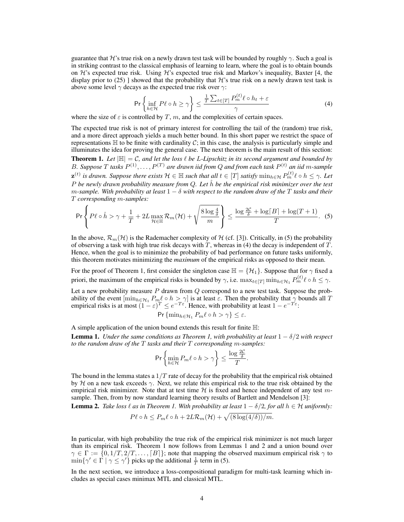guarantee that H's true risk on a newly drawn test task will be bounded by roughly  $\gamma$ . Such a goal is in striking contrast to the classical emphasis of learning to learn, where the goal is to obtain bounds on  $\mathcal{H}$ 's expected true risk. Using  $\mathcal{H}$ 's expected true risk and Markov's inequality, Baxter [4, the display prior to (25) ] showed that the probability that  $\mathcal{H}$ 's true risk on a newly drawn test task is above some level  $\gamma$  decays as the expected true risk over  $\gamma$ :

$$
\Pr\left\{\inf_{h\in\mathcal{H}} P\ell \circ h \ge \gamma\right\} \le \frac{\frac{1}{T}\sum_{t\in[T]} P_m^{(t)}\ell \circ h_t + \varepsilon}{\gamma} \tag{4}
$$

where the size of  $\varepsilon$  is controlled by T, m, and the complexities of certain spaces.

The expected true risk is not of primary interest for controlling the tail of the (random) true risk, and a more direct approach yields a much better bound. In this short paper we restrict the space of representations  $\mathbb H$  to be finite with cardinality C; in this case, the analysis is particularly simple and illuminates the idea for proving the general case. The next theorem is the main result of this section: **Theorem 1.** Let  $|\mathbb{H}| = C$ , and let the loss  $\ell$  be L-Lipschitz in its second argument and bounded by B. Suppose T tasks  $P^{(1)}, \ldots, P^{(T)}$  are drawn iid from Q and from each task  $P^{(t)}$  an iid m-sample  $\mathbf{z}^{(t)}$  is drawn. Suppose there exists  $\mathcal{H} \in \mathbb{H}$  such that all  $t \in [T]$  satisfy  $\min_{h \in \mathcal{H}} P_m^{(t)} \ell \circ h \leq \gamma$ . Let P *be newly drawn probability measure from* Q*. Let* hˆ *be the empirical risk minimizer over the test* m*-sample. With probability at least* 1 − δ *with respect to the random draw of the* T *tasks and their* T *corresponding* m*-samples:*

$$
\Pr\left\{P\ell \circ \hat{h} > \gamma + \frac{1}{T} + 2L\max_{\mathcal{H} \in \mathbb{H}} \mathcal{R}_m(\mathcal{H}) + \sqrt{\frac{8\log\frac{4}{\delta}}{m}}\right\} \le \frac{\log\frac{2\mathcal{C}}{\delta} + \log\left[B\right] + \log\left(T + 1\right)}{T}.\tag{5}
$$

In the above,  $\mathcal{R}_m(\mathcal{H})$  is the Rademacher complexity of  $\mathcal H$  (cf. [3]). Critically, in (5) the probability of observing a task with high true risk decays with  $T$ , whereas in (4) the decay is independent of  $T$ . Hence, when the goal is to minimize the probability of bad performance on future tasks uniformly, this theorem motivates minimizing the *maximum* of the empirical risks as opposed to their mean.

For the proof of Theorem 1, first consider the singleton case  $\mathbb{H} = \{ \mathcal{H}_1 \}$ . Suppose that for  $\gamma$  fixed a priori, the maximum of the empirical risks is bounded by  $\gamma$ , i.e.  $\max_{t \in [T]} \min_{h \in \mathcal{H}_1} P_m^{(t)} \ell \circ h \leq \gamma$ .

Let a new probability measure  $P$  drawn from  $Q$  correspond to a new test task. Suppose the probability of the event  $[\min_{h\in\mathcal{H}_1}P_m\ell\circ h\geq \gamma]$  is at least  $\varepsilon$ . Then the probability that  $\gamma$  bounds all T empirical risks is at most  $(1 - \varepsilon)^T \le e^{-T\varepsilon}$ . Hence, with probability at least  $1 - e^{-T\varepsilon}$ .

$$
\Pr\{\min_{h\in\mathcal{H}_1} P_m\ell \circ h > \gamma\} \leq \varepsilon.
$$

A simple application of the union bound extends this result for finite H:

**Lemma 1.** *Under the same conditions as Theorem 1, with probability at least*  $1 - \delta/2$  *with respect to the random draw of the* T *tasks and their* T *corresponding* m*-samples:*

$$
\Pr\left\{\min_{h\in\mathcal{H}}P_m\ell\circ h>\gamma\right\}\leq \frac{\log\frac{2\mathcal{C}}{\delta}}{T}.
$$

The bound in the lemma states a  $1/T$  rate of decay for the probability that the empirical risk obtained by H on a new task exceeds  $\gamma$ . Next, we relate this empirical risk to the true risk obtained by the empirical risk minimizer. Note that at test time  $H$  is fixed and hence independent of any test msample. Then, from by now standard learning theory results of Bartlett and Mendelson [3]:

**Lemma 2.** *Take loss*  $\ell$  *as in Theorem 1. With probability at least*  $1 - \delta/2$ *, for all*  $h \in H$  *uniformly:* 

$$
P\ell \circ h \le P_m\ell \circ h + 2L\mathcal{R}_m(\mathcal{H}) + \sqrt{(8\log(4/\delta))/m}.
$$

In particular, with high probability the true risk of the empirical risk minimizer is not much larger than its empirical risk. Theorem 1 now follows from Lemmas 1 and 2 and a union bound over  $\gamma \in \Gamma := \{0, 1/T, 2/T, \ldots, \lceil B \rceil\};$  note that mapping the observed maximum empirical risk  $\gamma$  to  $\min\{\gamma' \in \Gamma \mid \gamma \leq \gamma'\}\$  picks up the additional  $\frac{1}{T}$  term in (5).

In the next section, we introduce a loss-compositional paradigm for multi-task learning which includes as special cases minimax MTL and classical MTL.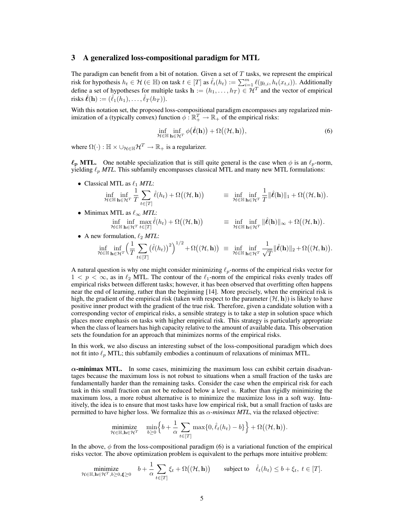#### 3 A generalized loss-compositional paradigm for MTL

The paradigm can benefit from a bit of notation. Given a set of  $T$  tasks, we represent the empirical risk for hypothesis  $h_t \in \mathcal{H} \in \mathbb{H}$ ) on task  $t \in [T]$  as  $\hat{\ell}_t(h_t) := \sum_{i=1}^m \ell(y_{t,i}, h_t(x_{t,i}))$ . Additionally define a set of hypotheses for multiple tasks  $\mathbf{h} := (h_1, \dots, h_T) \in \mathcal{H}^T$  and the vector of empirical risks  $\hat{\ell}(\mathbf{h}) := (\hat{\ell}_1(h_1), \dots, \hat{\ell}_T(h_T)).$ 

With this notation set, the proposed loss-compositional paradigm encompasses any regularized minimization of a (typically convex) function  $\phi : \mathbb{R}_+^T \to \mathbb{R}_+$  of the empirical risks:

$$
\inf_{\mathcal{H}\in\mathbb{H}}\inf_{\mathbf{h}\in\mathcal{H}^T}\phi(\hat{\ell}(\mathbf{h}))+\Omega((\mathcal{H},\mathbf{h})),\tag{6}
$$

where  $\Omega(\cdot) : \mathbb{H} \times \cup_{\mathcal{H} \in \mathbb{H}} \mathcal{H}^T \to \mathbb{R}_+$  is a regularizer.

 $\ell_p$  MTL. One notable specialization that is still quite general is the case when  $\phi$  is an  $\ell_p$ -norm, yielding  $\ell_p$  *MTL*. This subfamily encompasses classical MTL and many new MTL formulations:

- Classical MTL as  $\ell_1$  *MTL*: inf<br>H∈H h∈ $\mathcal{H}^{\tau}$ 1 T  $\sum$  $t \in [T]$  $\hat{\ell}(h_t) + \Omega((\mathcal{H}, \mathbf{h})) \equiv \inf_{\mathcal{H} \in \mathbb{H} } \inf_{\mathbf{h} \in \mathcal{H}^T}$ 1  $\frac{1}{T} \|\hat{\ell}(\mathbf{h})\|_1 + \Omega((\mathcal{H}, \mathbf{h})).$
- Minimax MTL as  $\ell_{\infty}$  *MTL*:  $\inf_{\mathcal{H} \in \mathbb{H}} \inf_{\mathbf{h} \in \mathcal{H}^T} \inf_{t \in [T]} \hat{\ell}(h_t) + \Omega((\mathcal{H}, \mathbf{h})) \qquad \equiv \inf_{\mathcal{H} \in \mathbb{H}} \inf_{\mathbf{h} \in \mathcal{H}^T} \|\hat{\ell}(\mathbf{h})\|_{\infty} + \Omega((\mathcal{H}, \mathbf{h})).$
- A new formulation,  $\ell_2$  *MTL*:

$$
\inf_{\mathcal{H}\in\mathbb{H}}\inf_{\mathbf{h}\in\mathcal{H}^T}\Big(\frac{1}{T}\sum_{t\in[T]}\big(\hat{\ell}(h_t)\big)^2\Big)^{1/2}+\Omega\big((\mathcal{H},\mathbf{h})\big)\;\equiv\;\inf_{\mathcal{H}\in\mathbb{H}}\inf_{\mathbf{h}\in\mathcal{H}^T}\frac{1}{\sqrt{T}}\|\hat{\ell}(\mathbf{h})\|_2+\Omega\big((\mathcal{H},\mathbf{h})\big).
$$

A natural question is why one might consider minimizing  $\ell_p$ -norms of the empirical risks vector for  $1 < p < \infty$ , as in  $\ell_2$  MTL. The contour of the  $\ell_1$ -norm of the empirical risks evenly trades off empirical risks between different tasks; however, it has been observed that overfitting often happens near the end of learning, rather than the beginning [14]. More precisely, when the empirical risk is high, the gradient of the empirical risk (taken with respect to the parameter  $(\mathcal{H}, h)$ ) is likely to have positive inner product with the gradient of the true risk. Therefore, given a candidate solution with a corresponding vector of empirical risks, a sensible strategy is to take a step in solution space which places more emphasis on tasks with higher empirical risk. This strategy is particularly appropriate when the class of learners has high capacity relative to the amount of available data. This observation sets the foundation for an approach that minimizes norms of the empirical risks.

In this work, we also discuss an interesting subset of the loss-compositional paradigm which does not fit into  $\ell_p$  MTL; this subfamily embodies a continuum of relaxations of minimax MTL.

 $\alpha$ -minimax MTL. In some cases, minimizing the maximum loss can exhibit certain disadvantages because the maximum loss is not robust to situations when a small fraction of the tasks are fundamentally harder than the remaining tasks. Consider the case when the empirical risk for each task in this small fraction can not be reduced below a level  $u$ . Rather than rigidly minimizing the maximum loss, a more robust alternative is to minimize the maximize loss in a soft way. Intuitively, the idea is to ensure that most tasks have low empirical risk, but a small fraction of tasks are permitted to have higher loss. We formalize this as  $\alpha$ -minimax MTL, via the relaxed objective:

$$
\underset{\mathcal{H} \in \mathbb{H}, \mathbf{h} \in \mathcal{H}^T}{\text{minimize}} \quad \underset{b \geq 0}{\text{min}} \Big\{ b + \frac{1}{\alpha} \sum_{t \in [T]} \max\{0, \hat{\ell}_t(h_t) - b\} \Big\} + \Omega\big((\mathcal{H}, \mathbf{h})\big).
$$

In the above,  $\phi$  from the loss-compositional paradigm (6) is a variational function of the empirical risks vector. The above optimization problem is equivalent to the perhaps more intuitive problem:

$$
\underset{\mathcal{H} \in \mathbb{H}, \mathbf{h} \in \mathcal{H}^T, b \geq 0, \boldsymbol{\xi} \geq 0}{\text{minimize}} \quad b + \frac{1}{\alpha} \sum_{t \in [T]} \xi_t + \Omega((\mathcal{H}, \mathbf{h})) \qquad \text{subject to} \quad \hat{\ell}_t(h_t) \leq b + \xi_t, \ t \in [T].
$$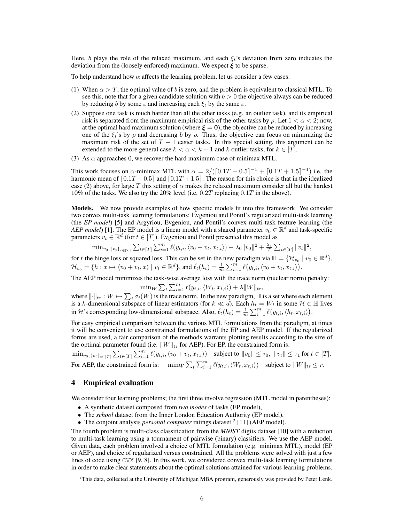Here, b plays the role of the relaxed maximum, and each  $\xi_t$ 's deviation from zero indicates the deviation from the (loosely enforced) maximum. We expect  $\xi$  to be sparse.

To help understand how  $\alpha$  affects the learning problem, let us consider a few cases:

- (1) When  $\alpha > T$ , the optimal value of b is zero, and the problem is equivalent to classical MTL. To see this, note that for a given candidate solution with  $b > 0$  the objective always can be reduced by reducing b by some  $\varepsilon$  and increasing each  $\xi_t$  by the same  $\varepsilon$ .
- (2) Suppose one task is much harder than all the other tasks (e.g. an outlier task), and its empirical risk is separated from the maximum empirical risk of the other tasks by  $\rho$ . Let  $1 < \alpha < 2$ ; now, at the optimal hard maximum solution (where  $\xi = 0$ ), the objective can be reduced by increasing one of the  $\xi_i$ 's by  $\rho$  and decreasing b by  $\rho$ . Thus, the objective can focus on minimizing the maximum risk of the set of  $T - 1$  easier tasks. In this special setting, this argument can be extended to the more general case  $k < \alpha < k + 1$  and k outlier tasks, for  $k \in [T]$ .
- (3) As  $\alpha$  approaches 0, we recover the hard maximum case of minimax MTL.

This work focuses on  $\alpha$ -minimax MTL with  $\alpha = 2/([0.1T + 0.5]^{-1} + [0.1T + 1.5]^{-1})$  i.e. the harmonic mean of  $[0.1T + 0.5]$  and  $[0.1T + 1.5]$ . The reason for this choice is that in the idealized case (2) above, for large T this setting of  $\alpha$  makes the relaxed maximum consider all but the hardest 10% of the tasks. We also try the 20% level (i.e. 0.2T replacing 0.1T in the above).

Models. We now provide examples of how specific models fit into this framework. We consider two convex multi-task learning formulations: Evgeniou and Pontil's regularized multi-task learning (the *EP model*) [5] and Argyriou, Evgeniou, and Pontil's convex multi-task feature learning (the *AEP model*) [1]. The EP model is a linear model with a shared parameter  $v_0 \in \mathbb{R}^d$  and task-specific parameters  $v_t \in \mathbb{R}^d$  (for  $t \in [T]$ ). Evgeniou and Pontil presented this model as

$$
\min\nolimits_{v_0, \{v_t\}_{t\in[T]}} \sum\nolimits_{t\in[T]} \sum\nolimits_{i=1}^m \ell(y_{t,i}, \langle v_0 + v_t, x_{t,i}\rangle) + \lambda_0 \|v_0\|^2 + \frac{\lambda_1}{T} \sum\nolimits_{t\in[T]} \|v_t\|^2,
$$

for  $\ell$  the hinge loss or squared loss. This can be set in the new paradigm via  $\mathbb{H} = \{ \mathcal{H}_{v_0} \mid v_0 \in \mathbb{R}^d \}$ ,  $\mathcal{H}_{v_0} = \{h: x \mapsto \langle v_0 + v_t, x \rangle \mid v_t \in \mathbb{R}^d\}$ , and  $\hat{\ell}_t(h_t) = \frac{1}{m} \sum_{i=1}^m \ell\big(y_{t,i}, \langle v_0 + v_t, x_{t,i} \rangle\big)$ .

The AEP model minimizes the task-wise average loss with the trace norm (nuclear norm) penalty:

$$
\min_{W} \sum_{t} \sum_{i=1}^{m} \ell(y_{t,i}, \langle W_t, x_{t,i} \rangle) + \lambda \|W\|_{\text{tr}},
$$

where  $\|\cdot\|_{tr} : W \mapsto \sum_{i} \sigma_i(W)$  is the trace norm. In the new paradigm,  $\mathbb H$  is a set where each element is a k-dimensional subspace of linear estimators (for  $k \ll d$ ). Each  $h_t = W_t$  in some  $H \in \mathbb{H}$  lives in H's corresponding low-dimensional subspace. Also,  $\hat{\ell}_t(h_t) = \frac{1}{m} \sum_{i=1}^m \ell(y_{t,i}, \langle h_t, x_{t,i} \rangle)$ .

For easy empirical comparison between the various MTL formulations from the paradigm, at times it will be convenient to use constrained formulations of the EP and AEP model. If the regularized forms are used, a fair comparison of the methods warrants plotting results according to the size of the optimal parameter found (i.e.  $||W||_{tr}$  for AEP). For EP, the constrained form is:

 $\min_{v_0, \{v_t\}_{t \in [T]}} \sum_{t \in [T]} \sum_{i=1}^m \ell(y_{t,i}, \langle v_0 + v_t, x_{t,i} \rangle)$  subject to  $||v_0|| \leq \tau_0$ ,  $||v_t|| \leq \tau_1$  for  $t \in [T]$ . For AEP, the constrained form is:  $\min_W \sum_t \sum_{i=1}^m \ell(y_{t,i}, \langle W_t, x_{t,i} \rangle)$  subject to  $||W||_{\text{tr}} \leq r$ .

#### 4 Empirical evaluation

We consider four learning problems; the first three involve regression (MTL model in parentheses):

- A synthetic dataset composed from *two modes* of tasks (EP model),
- The *school* dataset from the Inner London Education Authority (EP model),
- The conjoint analysis *personal computer* ratings dataset <sup>2</sup> [11] (AEP model).

The fourth problem is multi-class classification from the *MNIST* digits dataset [10] with a reduction to multi-task learning using a tournament of pairwise (binary) classifiers. We use the AEP model. Given data, each problem involved a choice of MTL formulation (e.g. minimax MTL), model (EP or AEP), and choice of regularized versus constrained. All the problems were solved with just a few lines of code using CVX [9, 8]. In this work, we considered convex multi-task learning formulations in order to make clear statements about the optimal solutions attained for various learning problems.

<sup>&</sup>lt;sup>2</sup>This data, collected at the University of Michigan MBA program, generously was provided by Peter Lenk.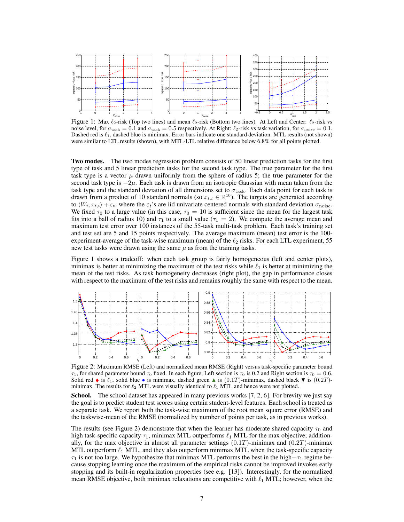

Figure 1: Max  $\ell_2$ -risk (Top two lines) and mean  $\ell_2$ -risk (Bottom two lines). At Left and Center:  $\ell_2$ -risk vs noise level, for  $\sigma_{\text{task}} = 0.1$  and  $\sigma_{\text{task}} = 0.5$  respectively. At Right:  $\ell_2$ -risk vs task variation, for  $\sigma_{\text{noise}} = 0.1$ . Dashed red is  $\ell_1$ , dashed blue is minimax. Error bars indicate one standard deviation. MTL results (not shown) were similar to LTL results (shown), with MTL-LTL relative difference below 6.8% for all points plotted.

Two modes. The two modes regression problem consists of 50 linear prediction tasks for the first type of task and 5 linear prediction tasks for the second task type. The true parameter for the first task type is a vector  $\mu$  drawn uniformly from the sphere of radius 5; the true parameter for the second task type is  $-2\mu$ . Each task is drawn from an isotropic Gaussian with mean taken from the task type and the standard deviation of all dimensions set to  $\sigma_{\text{task}}$ . Each data point for each task is drawn from a product of 10 standard normals (so  $x_{t,i} \in \mathbb{R}^{10}$ ). The targets are generated according to  $\langle W_t, x_t \rangle + \varepsilon_t$ , where the  $\varepsilon_t$ 's are iid univariate centered normals with standard deviation  $\sigma_{\text{noise}}$ . We fixed  $\tau_0$  to a large value (in this case,  $\tau_0 = 10$  is sufficient since the mean for the largest task fits into a ball of radius 10) and  $\tau_1$  to a small value ( $\tau_1 = 2$ ). We compute the average mean and maximum test error over 100 instances of the 55-task multi-task problem. Each task's training set and test set are 5 and 15 points respectively. The average maximum (mean) test error is the 100 experiment-average of the task-wise maximum (mean) of the  $\ell_2$  risks. For each LTL experiment, 55 new test tasks were drawn using the same  $\mu$  as from the training tasks.

Figure 1 shows a tradeoff: when each task group is fairly homogeneous (left and center plots), minimax is better at minimizing the maximum of the test risks while  $\ell_1$  is better at minimizing the mean of the test risks. As task homogeneity decreases (right plot), the gap in performance closes with respect to the maximum of the test risks and remains roughly the same with respect to the mean.



Figure 2: Maximum RMSE (Left) and normalized mean RMSE (Right) versus task-specific parameter bound  $\tau_1$ , for shared parameter bound  $\tau_0$  fixed. In each figure, Left section is  $\tau_0$  is 0.2 and Right section is  $\tau_0 = 0.6$ . Solid red  $\bullet$  is  $\ell_1$ , solid blue  $\bullet$  is minimax, dashed green  $\blacktriangle$  is  $(0.1T)$ -minimax, dashed black  $\nabla$  is  $(0.2T)$ minimax. The results for  $\ell_2$  MTL were visually identical to  $\ell_1$  MTL and hence were not plotted.

School. The school dataset has appeared in many previous works [7, 2, 6]. For brevity we just say the goal is to predict student test scores using certain student-level features. Each school is treated as a separate task. We report both the task-wise maximum of the root mean square error (RMSE) and the taskwise-mean of the RMSE (normalized by number of points per task, as in previous works).

The results (see Figure 2) demonstrate that when the learner has moderate shared capacity  $\tau_0$  and high task-specific capacity  $\tau_1$ , minimax MTL outperforms  $\ell_1$  MTL for the max objective; additionally, for the max objective in almost all parameter settings  $(0.1T)$ -minimax and  $(0.2T)$ -minimax MTL outperform  $\ell_1$  MTL, and they also outperform minimax MTL when the task-specific capacity  $\tau_1$  is not too large. We hypothesize that minimax MTL performs the best in the high $-\tau_1$  regime because stopping learning once the maximum of the empirical risks cannot be improved invokes early stopping and its built-in regularization properties (see e.g. [13]). Interestingly, for the normalized mean RMSE objective, both minimax relaxations are competitive with  $\ell_1$  MTL; however, when the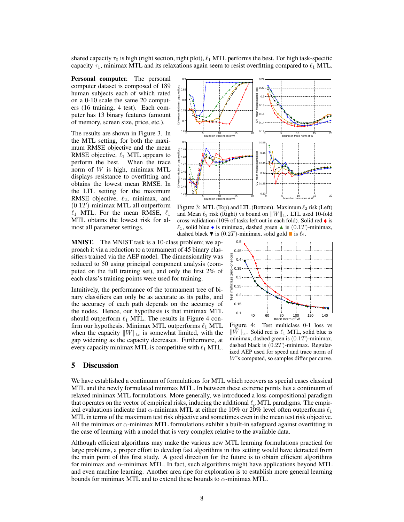shared capacity  $\tau_0$  is high (right section, right plot),  $\ell_1$  MTL performs the best. For high task-specific capacity  $\tau_1$ , minimax MTL and its relaxations again seem to resist overfitting compared to  $\ell_1$  MTL.

Personal computer. The personal computer dataset is composed of 189 human subjects each of which rated on a 0-10 scale the same 20 computers (16 training, 4 test). Each computer has 13 binary features (amount of memory, screen size, price, etc.).

The results are shown in Figure 3. In the MTL setting, for both the maximum RMSE objective and the mean RMSE objective,  $\ell_1$  MTL appears to perform the best. When the trace norm of  $W$  is high, minimax MTL displays resistance to overfitting and obtains the lowest mean RMSE. In the LTL setting for the maximum RMSE objective,  $\ell_2$ , minimax, and  $(0.1T)$ -minimax MTL all outperform  $\ell_1$  MTL. For the mean RMSE,  $\ell_1$ MTL obtains the lowest risk for almost all parameter settings.



Figure 3: MTL (Top) and LTL (Bottom). Maximum  $\ell_2$  risk (Left) and Mean  $\ell_2$  risk (Right) vs bound on  $\|W\|_{\text{tr}}$ . LTL used 10-fold cross-validation (10% of tasks left out in each fold). Solid red  $\bullet$  is  $\ell_1$ , solid blue • is minimax, dashed green  $\blacktriangle$  is  $(0.1T)$ -minimax, dashed black  $\blacktriangledown$  is  $(0.2T)$ -minimax, solid gold  $\blacksquare$  is  $\ell_2$ .

MNIST. The MNIST task is a 10-class problem; we approach it via a reduction to a tournament of 45 binary classifiers trained via the AEP model. The dimensionality was reduced to 50 using principal component analysis (computed on the full training set), and only the first 2% of each class's training points were used for training.

Intuitively, the performance of the tournament tree of binary classifiers can only be as accurate as its paths, and the accuracy of each path depends on the accuracy of the nodes. Hence, our hypothesis is that minimax MTL should outperform  $\ell_1$  MTL. The results in Figure 4 confirm our hypothesis. Minimax MTL outperforms  $\ell_1$  MTL when the capacity  $\|W\|_{tr}$  is somewhat limited, with the gap widening as the capacity decreases. Furthermore, at every capacity minimax MTL is competitive with  $\ell_1$  MTL.

#### $0.5<sub>th</sub>$ 0.45 Test multiclass zero−one loss  $0.4$ 0.35  $\overline{0}$ .  $0.25$  $0.2$ Test  $0.15$ 0.1 40 60 80 100 120 140 trace norm of W

Figure 4: Test multiclass 0-1 loss vs  $\|W\|_{\text{tr}}$ . Solid red is  $\ell_1$  MTL, solid blue is minimax, dashed green is  $(0.1T)$ -minimax, dashed black is  $(0.2T)$ -minimax. Regularized AEP used for speed and trace norm of W's computed, so samples differ per curve.

### 5 Discussion

We have established a continuum of formulations for MTL which recovers as special cases classical MTL and the newly formulated minimax MTL. In between these extreme points lies a continuum of relaxed minimax MTL formulations. More generally, we introduced a loss-compositional paradigm that operates on the vector of empirical risks, inducing the additional  $\ell_p$  MTL paradigms. The empirical evaluations indicate that  $\alpha$ -minimax MTL at either the 10% or 20% level often outperforms  $\ell_1$ MTL in terms of the maximum test risk objective and sometimes even in the mean test risk objective. All the minimax or  $\alpha$ -minimax MTL formulations exhibit a built-in safeguard against overfitting in the case of learning with a model that is very complex relative to the available data.

Although efficient algorithms may make the various new MTL learning formulations practical for large problems, a proper effort to develop fast algorithms in this setting would have detracted from the main point of this first study. A good direction for the future is to obtain efficient algorithms for minimax and  $\alpha$ -minimax MTL. In fact, such algorithms might have applications beyond MTL and even machine learning. Another area ripe for exploration is to establish more general learning bounds for minimax MTL and to extend these bounds to  $\alpha$ -minimax MTL.